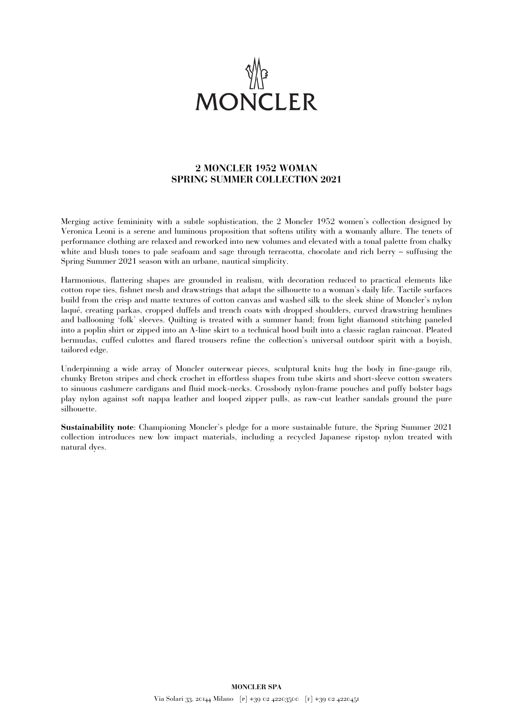

## **2 MONCLER 1952 WOMAN SPRING SUMMER COLLECTION 2021**

Merging active femininity with a subtle sophistication, the 2 Moncler 1952 women's collection designed by Veronica Leoni is a serene and luminous proposition that softens utility with a womanly allure. The tenets of performance clothing are relaxed and reworked into new volumes and elevated with a tonal palette from chalky white and blush tones to pale seafoam and sage through terracotta, chocolate and rich berry – suffusing the Spring Summer 2021 season with an urbane, nautical simplicity.

Harmonious, flattering shapes are grounded in realism, with decoration reduced to practical elements like cotton rope ties, fishnet mesh and drawstrings that adapt the silhouette to a woman's daily life. Tactile surfaces build from the crisp and matte textures of cotton canvas and washed silk to the sleek shine of Moncler's nylon laqué, creating parkas, cropped duffels and trench coats with dropped shoulders, curved drawstring hemlines and ballooning 'folk' sleeves. Quilting is treated with a summer hand; from light diamond stitching paneled into a poplin shirt or zipped into an A-line skirt to a technical hood built into a classic raglan raincoat. Pleated bermudas, cuffed culottes and flared trousers refine the collection's universal outdoor spirit with a boyish, tailored edge.

Underpinning a wide array of Moncler outerwear pieces, sculptural knits hug the body in fine-gauge rib, chunky Breton stripes and check crochet in effortless shapes from tube skirts and short-sleeve cotton sweaters to sinuous cashmere cardigans and fluid mock-necks. Crossbody nylon-frame pouches and puffy bolster bags play nylon against soft nappa leather and looped zipper pulls, as raw-cut leather sandals ground the pure silhouette.

**Sustainability note**: Championing Moncler's pledge for a more sustainable future, the Spring Summer 2021 collection introduces new low impact materials, including a recycled Japanese ripstop nylon treated with natural dyes.